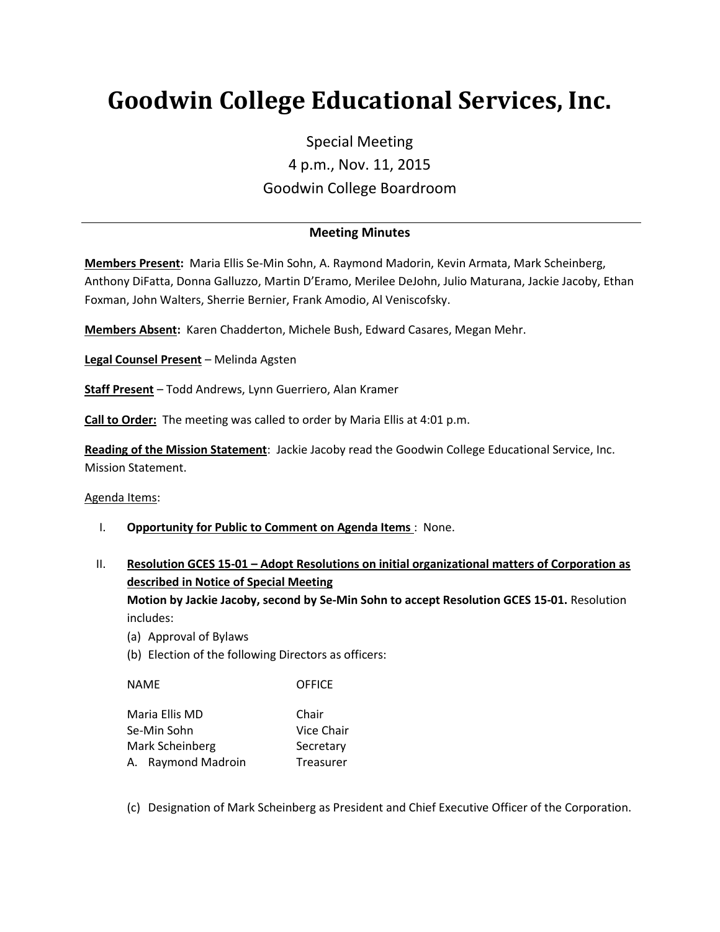# **Goodwin College Educational Services, Inc.**

# Special Meeting 4 p.m., Nov. 11, 2015 Goodwin College Boardroom

## **Meeting Minutes**

**Members Present:** Maria Ellis Se-Min Sohn, A. Raymond Madorin, Kevin Armata, Mark Scheinberg, Anthony DiFatta, Donna Galluzzo, Martin D'Eramo, Merilee DeJohn, Julio Maturana, Jackie Jacoby, Ethan Foxman, John Walters, Sherrie Bernier, Frank Amodio, Al Veniscofsky.

**Members Absent:** Karen Chadderton, Michele Bush, Edward Casares, Megan Mehr.

**Legal Counsel Present** – Melinda Agsten

**Staff Present** – Todd Andrews, Lynn Guerriero, Alan Kramer

**Call to Order:** The meeting was called to order by Maria Ellis at 4:01 p.m.

**Reading of the Mission Statement**: Jackie Jacoby read the Goodwin College Educational Service, Inc. Mission Statement.

Agenda Items:

- I. **Opportunity for Public to Comment on Agenda Items** : None.
- II. **Resolution GCES 15-01 – Adopt Resolutions on initial organizational matters of Corporation as described in Notice of Special Meeting Motion by Jackie Jacoby, second by Se-Min Sohn to accept Resolution GCES 15-01.** Resolution includes:
	- (a) Approval of Bylaws
	- (b) Election of the following Directors as officers:

NAME OFFICE

| Maria Ellis MD     | Chair      |
|--------------------|------------|
| Se-Min Sohn        | Vice Chair |
| Mark Scheinberg    | Secretary  |
| A. Raymond Madroin | Treasurer  |

(c) Designation of Mark Scheinberg as President and Chief Executive Officer of the Corporation.